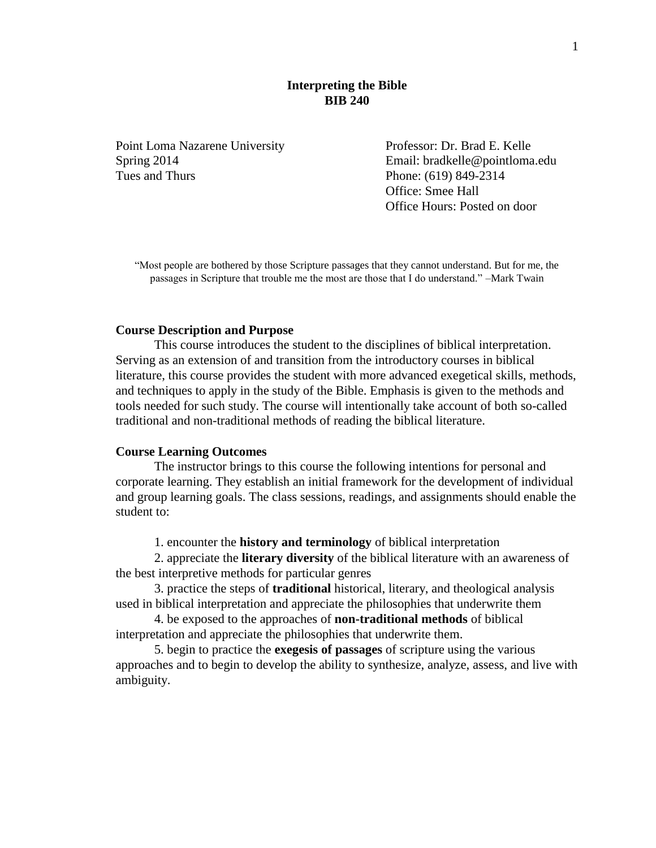## **Interpreting the Bible BIB 240**

Point Loma Nazarene University Professor: Dr. Brad E. Kelle Tues and Thurs **Phone:** (619) 849-2314

Spring 2014 Email: bradkelle@pointloma.edu Office: Smee Hall Office Hours: Posted on door

"Most people are bothered by those Scripture passages that they cannot understand. But for me, the passages in Scripture that trouble me the most are those that I do understand." –Mark Twain

## **Course Description and Purpose**

This course introduces the student to the disciplines of biblical interpretation. Serving as an extension of and transition from the introductory courses in biblical literature, this course provides the student with more advanced exegetical skills, methods, and techniques to apply in the study of the Bible. Emphasis is given to the methods and tools needed for such study. The course will intentionally take account of both so-called traditional and non-traditional methods of reading the biblical literature.

#### **Course Learning Outcomes**

The instructor brings to this course the following intentions for personal and corporate learning. They establish an initial framework for the development of individual and group learning goals. The class sessions, readings, and assignments should enable the student to:

1. encounter the **history and terminology** of biblical interpretation

2. appreciate the **literary diversity** of the biblical literature with an awareness of the best interpretive methods for particular genres

3. practice the steps of **traditional** historical, literary, and theological analysis used in biblical interpretation and appreciate the philosophies that underwrite them

4. be exposed to the approaches of **non-traditional methods** of biblical interpretation and appreciate the philosophies that underwrite them.

5. begin to practice the **exegesis of passages** of scripture using the various approaches and to begin to develop the ability to synthesize, analyze, assess, and live with ambiguity.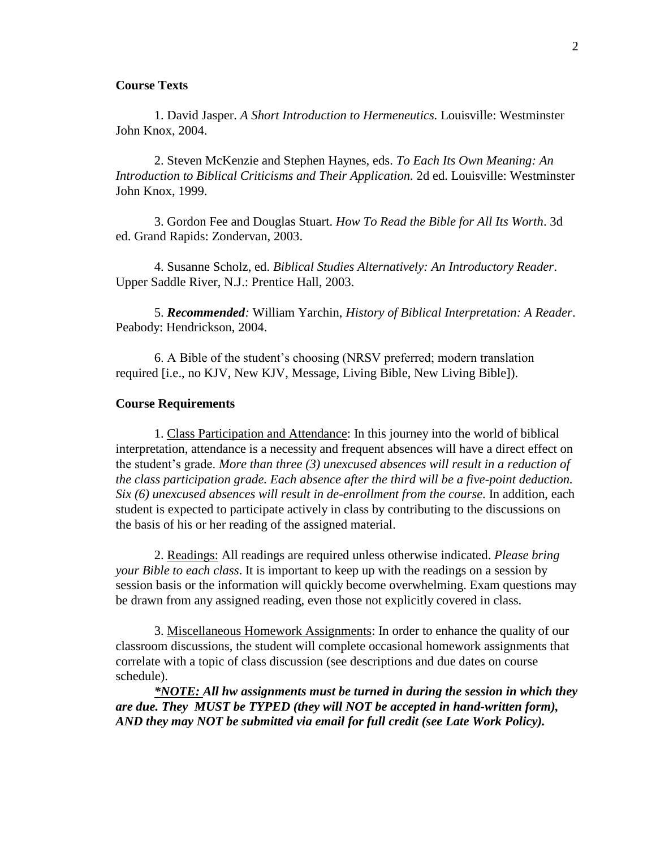## **Course Texts**

1. David Jasper. *A Short Introduction to Hermeneutics.* Louisville: Westminster John Knox, 2004.

2. Steven McKenzie and Stephen Haynes, eds. *To Each Its Own Meaning: An Introduction to Biblical Criticisms and Their Application.* 2d ed. Louisville: Westminster John Knox, 1999.

3. Gordon Fee and Douglas Stuart. *How To Read the Bible for All Its Worth*. 3d ed. Grand Rapids: Zondervan, 2003.

4. Susanne Scholz, ed. *Biblical Studies Alternatively: An Introductory Reader*. Upper Saddle River, N.J.: Prentice Hall, 2003.

5. *Recommended:* William Yarchin, *History of Biblical Interpretation: A Reader*. Peabody: Hendrickson, 2004.

6. A Bible of the student's choosing (NRSV preferred; modern translation required [i.e., no KJV, New KJV, Message, Living Bible, New Living Bible]).

#### **Course Requirements**

1. Class Participation and Attendance: In this journey into the world of biblical interpretation, attendance is a necessity and frequent absences will have a direct effect on the student's grade. *More than three (3) unexcused absences will result in a reduction of the class participation grade. Each absence after the third will be a five-point deduction. Six (6) unexcused absences will result in de-enrollment from the course.* In addition, each student is expected to participate actively in class by contributing to the discussions on the basis of his or her reading of the assigned material.

2. Readings: All readings are required unless otherwise indicated. *Please bring your Bible to each class*. It is important to keep up with the readings on a session by session basis or the information will quickly become overwhelming. Exam questions may be drawn from any assigned reading, even those not explicitly covered in class.

3. Miscellaneous Homework Assignments: In order to enhance the quality of our classroom discussions, the student will complete occasional homework assignments that correlate with a topic of class discussion (see descriptions and due dates on course schedule).

*\*NOTE: All hw assignments must be turned in during the session in which they are due. They MUST be TYPED (they will NOT be accepted in hand-written form), AND they may NOT be submitted via email for full credit (see Late Work Policy).*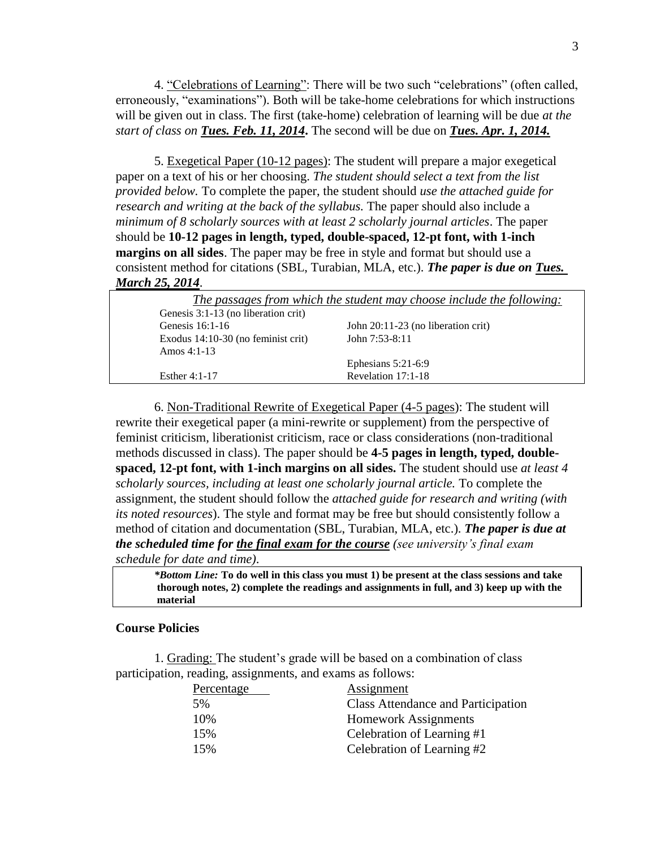4. "Celebrations of Learning": There will be two such "celebrations" (often called, erroneously, "examinations"). Both will be take-home celebrations for which instructions will be given out in class. The first (take-home) celebration of learning will be due *at the start of class on Tues. Feb. 11, 2014***.** The second will be due on *Tues. Apr. 1, 2014.*

5. Exegetical Paper (10-12 pages): The student will prepare a major exegetical paper on a text of his or her choosing. *The student should select a text from the list provided below.* To complete the paper, the student should *use the attached guide for research and writing at the back of the syllabus.* The paper should also include a *minimum of 8 scholarly sources with at least 2 scholarly journal articles*. The paper should be **10-12 pages in length, typed, double-spaced, 12-pt font, with 1-inch margins on all sides**. The paper may be free in style and format but should use a consistent method for citations (SBL, Turabian, MLA, etc.). *The paper is due on Tues. March 25, 2014*.

|                                                       | The passages from which the student may choose include the following: |
|-------------------------------------------------------|-----------------------------------------------------------------------|
| Genesis 3:1-13 (no liberation crit)                   |                                                                       |
| Genesis 16:1-16                                       | John 20:11-23 (no liberation crit)                                    |
| Exodus $14:10-30$ (no feminist crit)<br>Amos $4:1-13$ | John $7:53-8:11$                                                      |
|                                                       | Ephesians $5:21-6:9$                                                  |
| Esther $4:1-17$                                       | Revelation 17:1-18                                                    |

6. Non-Traditional Rewrite of Exegetical Paper (4-5 pages): The student will rewrite their exegetical paper (a mini-rewrite or supplement) from the perspective of feminist criticism, liberationist criticism, race or class considerations (non-traditional methods discussed in class). The paper should be **4-5 pages in length, typed, doublespaced, 12-pt font, with 1-inch margins on all sides.** The student should use *at least 4 scholarly sources, including at least one scholarly journal article.* To complete the assignment, the student should follow the *attached guide for research and writing (with its noted resources*). The style and format may be free but should consistently follow a method of citation and documentation (SBL, Turabian, MLA, etc.). *The paper is due at the scheduled time for the final exam for the course (see university's final exam schedule for date and time)*.

*\*Bottom Line:* **To do well in this class you must 1) be present at the class sessions and take thorough notes, 2) complete the readings and assignments in full, and 3) keep up with the material**

## **Course Policies**

1. Grading: The student's grade will be based on a combination of class participation, reading, assignments, and exams as follows:

| Percentage | Assignment                                |
|------------|-------------------------------------------|
| 5%         | <b>Class Attendance and Participation</b> |
| 10%        | <b>Homework Assignments</b>               |
| 15%        | Celebration of Learning #1                |
| 15%        | Celebration of Learning #2                |
|            |                                           |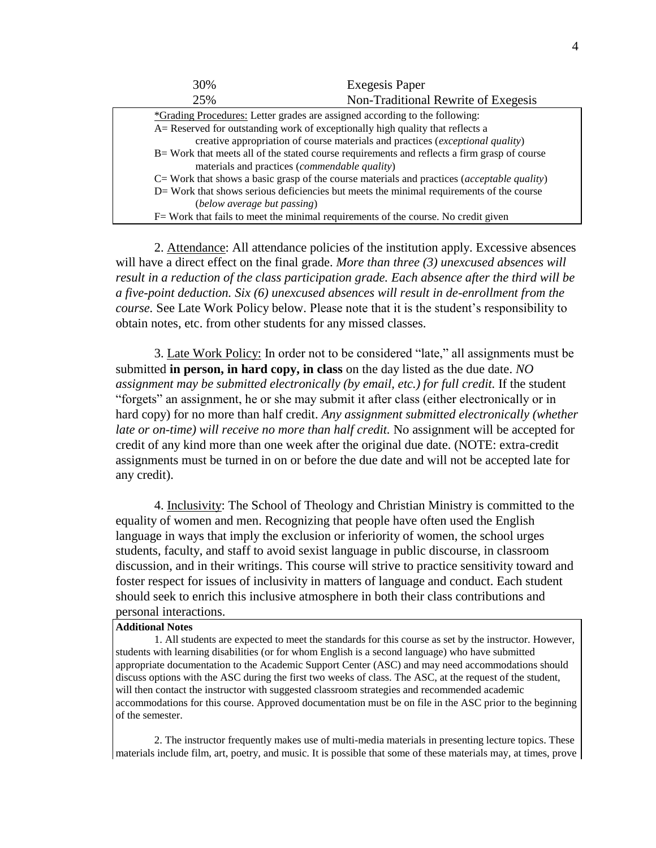| 30%                                                                                           | <b>Exegesis Paper</b>               |  |
|-----------------------------------------------------------------------------------------------|-------------------------------------|--|
| 25%                                                                                           | Non-Traditional Rewrite of Exegesis |  |
| *Grading Procedures: Letter grades are assigned according to the following:                   |                                     |  |
| A = Reserved for outstanding work of exceptionally high quality that reflects a               |                                     |  |
| creative appropriation of course materials and practices (exceptional quality)                |                                     |  |
| B = Work that meets all of the stated course requirements and reflects a firm grasp of course |                                     |  |
| materials and practices ( <i>commendable quality</i> )                                        |                                     |  |
| C= Work that shows a basic grasp of the course materials and practices (acceptable quality)   |                                     |  |
| D= Work that shows serious deficiencies but meets the minimal requirements of the course      |                                     |  |
| (below average but passing)                                                                   |                                     |  |
| F = Work that fails to meet the minimal requirements of the course. No credit given           |                                     |  |

2. Attendance: All attendance policies of the institution apply. Excessive absences will have a direct effect on the final grade. *More than three (3) unexcused absences will result in a reduction of the class participation grade. Each absence after the third will be a five-point deduction. Six (6) unexcused absences will result in de-enrollment from the course.* See Late Work Policy below. Please note that it is the student's responsibility to obtain notes, etc. from other students for any missed classes.

3. Late Work Policy: In order not to be considered "late," all assignments must be submitted **in person, in hard copy, in class** on the day listed as the due date. *NO assignment may be submitted electronically (by email, etc.) for full credit.* If the student "forgets" an assignment, he or she may submit it after class (either electronically or in hard copy) for no more than half credit. *Any assignment submitted electronically (whether late or on-time) will receive no more than half credit.* No assignment will be accepted for credit of any kind more than one week after the original due date. (NOTE: extra-credit assignments must be turned in on or before the due date and will not be accepted late for any credit).

4. Inclusivity: The School of Theology and Christian Ministry is committed to the equality of women and men. Recognizing that people have often used the English language in ways that imply the exclusion or inferiority of women, the school urges students, faculty, and staff to avoid sexist language in public discourse, in classroom discussion, and in their writings. This course will strive to practice sensitivity toward and foster respect for issues of inclusivity in matters of language and conduct. Each student should seek to enrich this inclusive atmosphere in both their class contributions and personal interactions.

#### **Additional Notes**

1. All students are expected to meet the standards for this course as set by the instructor. However, students with learning disabilities (or for whom English is a second language) who have submitted appropriate documentation to the Academic Support Center (ASC) and may need accommodations should discuss options with the ASC during the first two weeks of class. The ASC, at the request of the student, will then contact the instructor with suggested classroom strategies and recommended academic accommodations for this course. Approved documentation must be on file in the ASC prior to the beginning of the semester.

2. The instructor frequently makes use of multi-media materials in presenting lecture topics. These materials include film, art, poetry, and music. It is possible that some of these materials may, at times, prove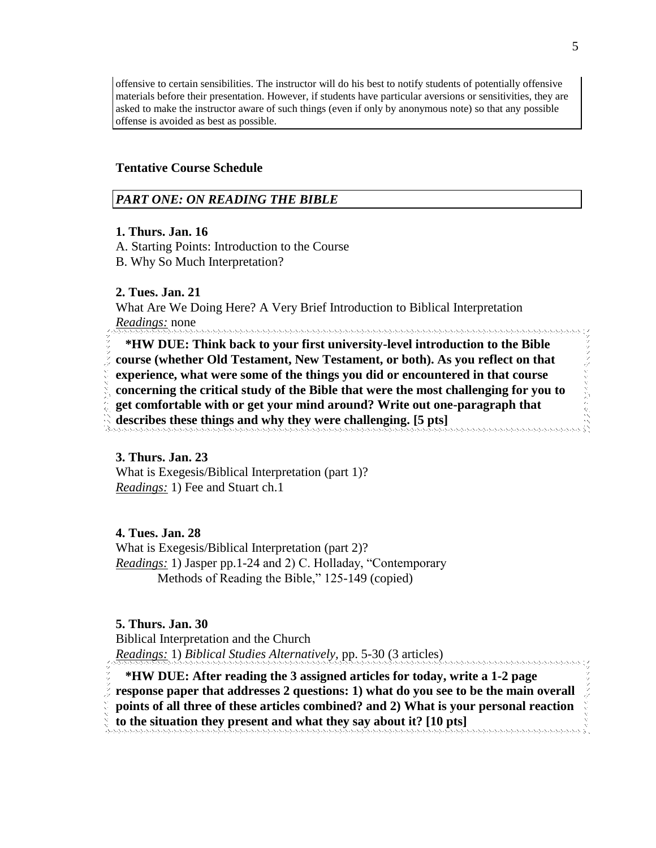offensive to certain sensibilities. The instructor will do his best to notify students of potentially offensive materials before their presentation. However, if students have particular aversions or sensitivities, they are asked to make the instructor aware of such things (even if only by anonymous note) so that any possible offense is avoided as best as possible.

## **Tentative Course Schedule**

### *PART ONE: ON READING THE BIBLE*

## **1. Thurs. Jan. 16**

A. Starting Points: Introduction to the Course

B. Why So Much Interpretation?

## **2. Tues. Jan. 21**

What Are We Doing Here? A Very Brief Introduction to Biblical Interpretation *Readings:* none 

 **\*HW DUE: Think back to your first university-level introduction to the Bible course (whether Old Testament, New Testament, or both). As you reflect on that experience, what were some of the things you did or encountered in that course concerning the critical study of the Bible that were the most challenging for you to get comfortable with or get your mind around? Write out one-paragraph that describes these things and why they were challenging. [5 pts]**

## **3. Thurs. Jan. 23**

What is Exegesis/Biblical Interpretation (part 1)? *Readings:* 1) Fee and Stuart ch.1

### **4. Tues. Jan. 28**

What is Exegesis/Biblical Interpretation (part 2)? *Readings:* 1) Jasper pp.1-24 and 2) C. Holladay, "Contemporary Methods of Reading the Bible," 125-149 (copied)

## **5. Thurs. Jan. 30**

Biblical Interpretation and the Church *Readings:* 1) *Biblical Studies Alternatively,* pp. 5-30 (3 articles)

- **\*HW DUE: After reading the 3 assigned articles for today, write a 1-2 page**
- **response paper that addresses 2 questions: 1) what do you see to be the main overall**
- **points of all three of these articles combined? and 2) What is your personal reaction**
- **to the situation they present and what they say about it? [10 pts]**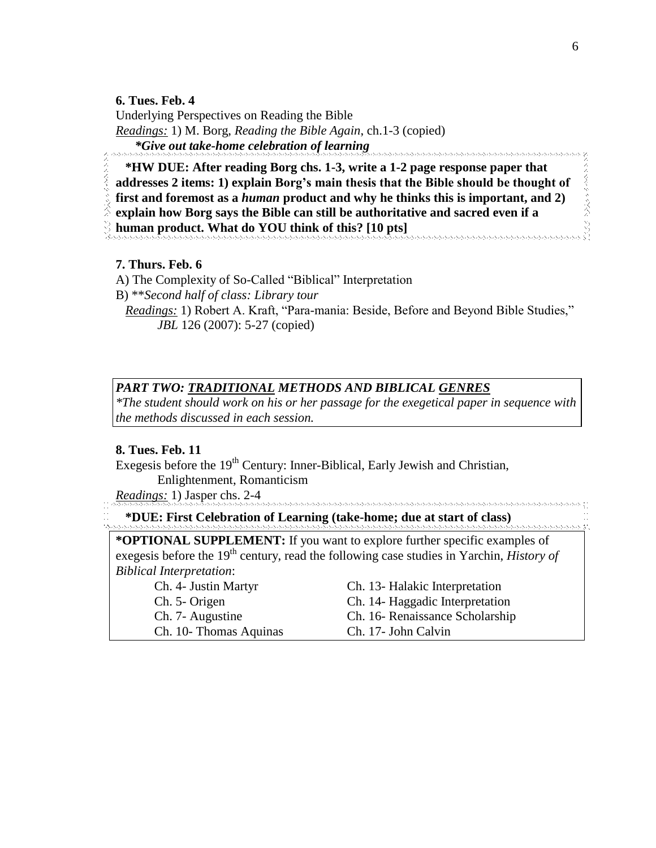**6. Tues. Feb. 4**

Underlying Perspectives on Reading the Bible *Readings:* 1) M. Borg, *Reading the Bible Again*, ch.1-3 (copied) *\*Give out take-home celebration of learning*

 **\*HW DUE: After reading Borg chs. 1-3, write a 1-2 page response paper that addresses 2 items: 1) explain Borg's main thesis that the Bible should be thought of first and foremost as a** *human* **product and why he thinks this is important, and 2) explain how Borg says the Bible can still be authoritative and sacred even if a** 

**human product. What do YOU think of this? [10 pts]**

# **7. Thurs. Feb. 6**

A) The Complexity of So-Called "Biblical" Interpretation

B) \*\**Second half of class: Library tour*

 *Readings:* 1) Robert A. Kraft, "Para-mania: Beside, Before and Beyond Bible Studies," *JBL* 126 (2007): 5-27 (copied)

# *PART TWO: TRADITIONAL METHODS AND BIBLICAL GENRES*

*\*The student should work on his or her passage for the exegetical paper in sequence with the methods discussed in each session.*

## **8. Tues. Feb. 11**

Exegesis before the  $19<sup>th</sup>$  Century: Inner-Biblical, Early Jewish and Christian, Enlightenment, Romanticism

*Readings:* 1) Jasper chs. 2-4

**\*DUE: First Celebration of Learning (take-home; due at start of class)**

**\*OPTIONAL SUPPLEMENT:** If you want to explore further specific examples of exegesis before the 19<sup>th</sup> century, read the following case studies in Yarchin, *History of Biblical Interpretation*:

Ch. 10- Thomas Aquinas Ch. 17- John Calvin

Ch. 4- Justin Martyr Ch. 13- Halakic Interpretation Ch. 5- Origen Ch. 14- Haggadic Interpretation Ch. 7- Augustine Ch. 16- Renaissance Scholarship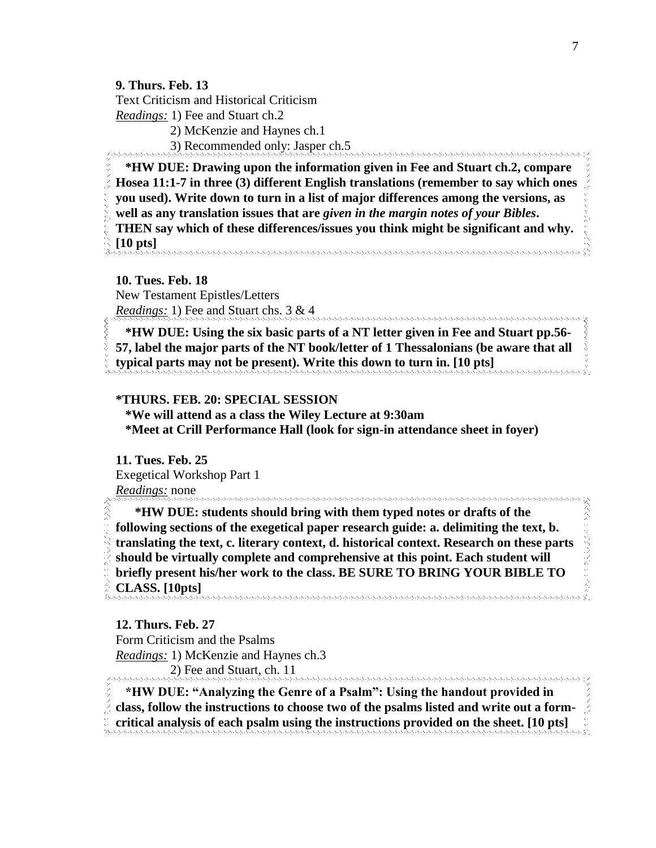# **9. Thurs. Feb. 13**

Text Criticism and Historical Criticism

*Readings:* 1) Fee and Stuart ch.2

2) McKenzie and Haynes ch.1

3) Recommended only: Jasper ch.5

 **\*HW DUE: Drawing upon the information given in Fee and Stuart ch.2, compare Hosea 11:1-7 in three (3) different English translations (remember to say which ones you used). Write down to turn in a list of major differences among the versions, as well as any translation issues that are** *given in the margin notes of your Bibles***. THEN say which of these differences/issues you think might be significant and why.** 

**[10 pts]** 

**10. Tues. Feb. 18**

New Testament Epistles/Letters *Readings:* 1) Fee and Stuart chs. 3 & 4

 **\*HW DUE: Using the six basic parts of a NT letter given in Fee and Stuart pp.56- 57, label the major parts of the NT book/letter of 1 Thessalonians (be aware that all typical parts may not be present). Write this down to turn in. [10 pts]**

## **\*THURS. FEB. 20: SPECIAL SESSION**

 **\*We will attend as a class the Wiley Lecture at 9:30am \*Meet at Crill Performance Hall (look for sign-in attendance sheet in foyer)**

**11. Tues. Feb. 25** Exegetical Workshop Part 1 *Readings:* none

 **\*HW DUE: students should bring with them typed notes or drafts of the following sections of the exegetical paper research guide: a. delimiting the text, b. translating the text, c. literary context, d. historical context. Research on these parts should be virtually complete and comprehensive at this point. Each student will briefly present his/her work to the class. BE SURE TO BRING YOUR BIBLE TO CLASS. [10pts]**

**12. Thurs. Feb. 27** Form Criticism and the Psalms *Readings:* 1) McKenzie and Haynes ch.3 2) Fee and Stuart, ch. 11

 **\*HW DUE: "Analyzing the Genre of a Psalm": Using the handout provided in class, follow the instructions to choose two of the psalms listed and write out a formcritical analysis of each psalm using the instructions provided on the sheet. [10 pts]**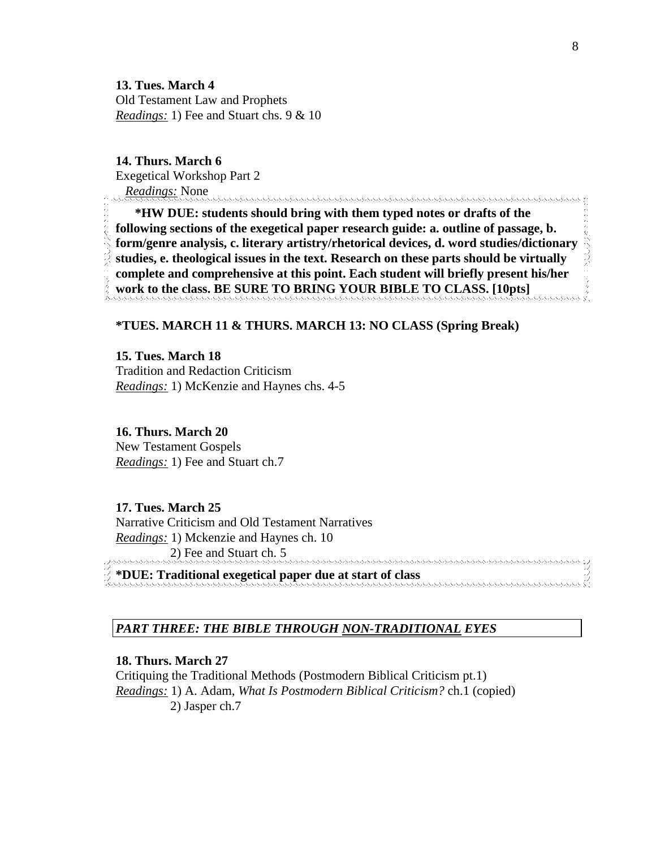**13. Tues. March 4** Old Testament Law and Prophets *Readings:* 1) Fee and Stuart chs. 9 & 10

**14. Thurs. March 6** Exegetical Workshop Part 2 *Readings:* None

 **\*HW DUE: students should bring with them typed notes or drafts of the following sections of the exegetical paper research guide: a. outline of passage, b. form/genre analysis, c. literary artistry/rhetorical devices, d. word studies/dictionary studies, e. theological issues in the text. Research on these parts should be virtually complete and comprehensive at this point. Each student will briefly present his/her work to the class. BE SURE TO BRING YOUR BIBLE TO CLASS. [10pts]**

## **\*TUES. MARCH 11 & THURS. MARCH 13: NO CLASS (Spring Break)**

**15. Tues. March 18** Tradition and Redaction Criticism *Readings:* 1) McKenzie and Haynes chs. 4-5

**16. Thurs. March 20** New Testament Gospels *Readings:* 1) Fee and Stuart ch.7

**17. Tues. March 25** Narrative Criticism and Old Testament Narratives *Readings:* 1) Mckenzie and Haynes ch. 10 2) Fee and Stuart ch. 5 AAAAAAAAAAAAAAAAAAAAAAA

**\*DUE: Traditional exegetical paper due at start of class**

### *PART THREE: THE BIBLE THROUGH NON-TRADITIONAL EYES*

## **18. Thurs. March 27**

Critiquing the Traditional Methods (Postmodern Biblical Criticism pt.1) *Readings:* 1) A. Adam, *What Is Postmodern Biblical Criticism?* ch.1 (copied) 2) Jasper ch.7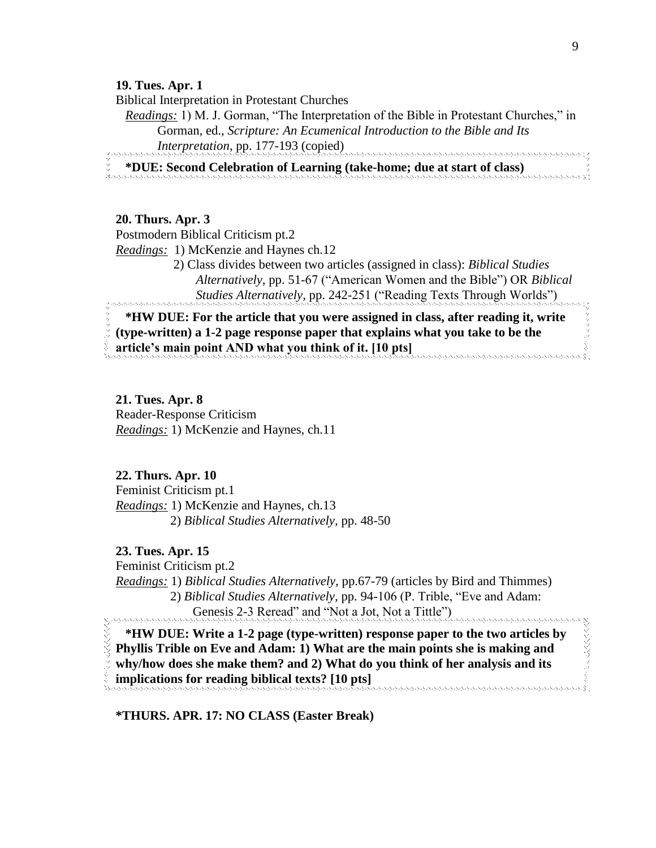### **19. Tues. Apr. 1**

Biblical Interpretation in Protestant Churches

 *Readings:* 1) M. J. Gorman, "The Interpretation of the Bible in Protestant Churches," in Gorman, ed., *Scripture: An Ecumenical Introduction to the Bible and Its Interpretation*, pp. 177-193 (copied)

**\*DUE: Second Celebration of Learning (take-home; due at start of class)**

## **20. Thurs. Apr. 3**

Postmodern Biblical Criticism pt.2

*Readings:* 1) McKenzie and Haynes ch.12

 2) Class divides between two articles (assigned in class): *Biblical Studies Alternatively*, pp. 51-67 ("American Women and the Bible") OR *Biblical Studies Alternatively*, pp. 242-251 ("Reading Texts Through Worlds")

 **\*HW DUE: For the article that you were assigned in class, after reading it, write (type-written) a 1-2 page response paper that explains what you take to be the article's main point AND what you think of it. [10 pts]**

# **21. Tues. Apr. 8** Reader-Response Criticism *Readings:* 1) McKenzie and Haynes, ch.11

## **22. Thurs. Apr. 10**

Feminist Criticism pt.1 *Readings:* 1) McKenzie and Haynes, ch.13 2) *Biblical Studies Alternatively,* pp. 48-50

## **23. Tues. Apr. 15**

Feminist Criticism pt.2

*Readings:* 1) *Biblical Studies Alternatively,* pp.67-79 (articles by Bird and Thimmes) 2) *Biblical Studies Alternatively,* pp. 94-106 (P. Trible, "Eve and Adam: Genesis 2-3 Reread" and "Not a Jot, Not a Tittle")

 **\*HW DUE: Write a 1-2 page (type-written) response paper to the two articles by Phyllis Trible on Eve and Adam: 1) What are the main points she is making and why/how does she make them? and 2) What do you think of her analysis and its implications for reading biblical texts? [10 pts]**

**\*THURS. APR. 17: NO CLASS (Easter Break)**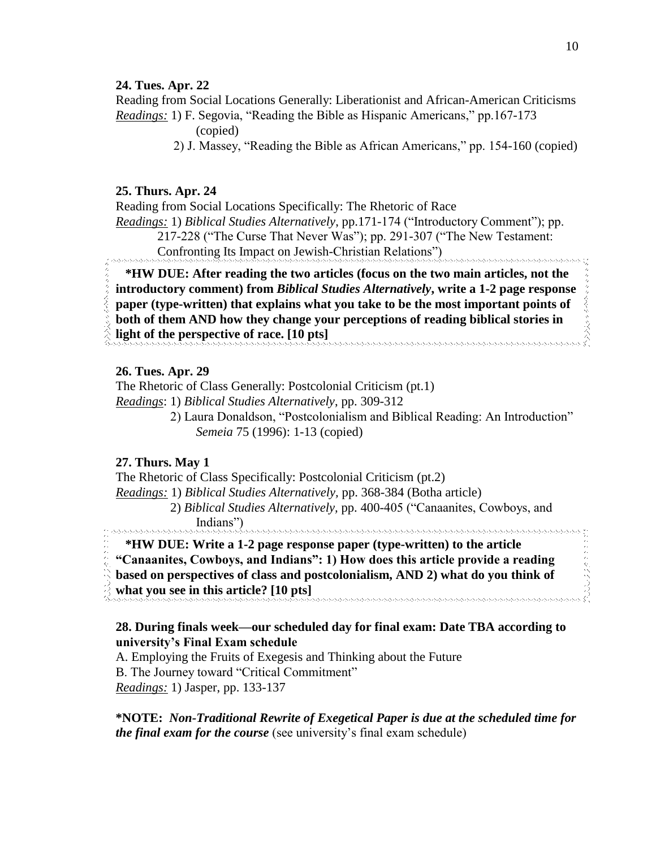## **24. Tues. Apr. 22**

Reading from Social Locations Generally: Liberationist and African-American Criticisms *Readings:* 1) F. Segovia, "Reading the Bible as Hispanic Americans," pp.167-173

(copied)

2) J. Massey, "Reading the Bible as African Americans," pp. 154-160 (copied)

## **25. Thurs. Apr. 24**

Reading from Social Locations Specifically: The Rhetoric of Race *Readings:* 1) *Biblical Studies Alternatively*, pp.171-174 ("Introductory Comment"); pp. 217-228 ("The Curse That Never Was"); pp. 291-307 ("The New Testament: Confronting Its Impact on Jewish-Christian Relations")

 **\*HW DUE: After reading the two articles (focus on the two main articles, not the introductory comment) from** *Biblical Studies Alternatively***, write a 1-2 page response paper (type-written) that explains what you take to be the most important points of both of them AND how they change your perceptions of reading biblical stories in light of the perspective of race. [10 pts]**

## **26. Tues. Apr. 29**

The Rhetoric of Class Generally: Postcolonial Criticism (pt.1) *Readings*: 1) *Biblical Studies Alternatively*, pp. 309-312

> 2) Laura Donaldson, "Postcolonialism and Biblical Reading: An Introduction" *Semeia* 75 (1996): 1-13 (copied)

## **27. Thurs. May 1**

The Rhetoric of Class Specifically: Postcolonial Criticism (pt.2) *Readings:* 1) *Biblical Studies Alternatively,* pp. 368-384 (Botha article) 2) *Biblical Studies Alternatively,* pp. 400-405 ("Canaanites, Cowboys, and Indians")

# **\*HW DUE: Write a 1-2 page response paper (type-written) to the article**

**"Canaanites, Cowboys, and Indians": 1) How does this article provide a reading** 

**based on perspectives of class and postcolonialism, AND 2) what do you think of** 

**what you see in this article? [10 pts]**

## **28. During finals week—our scheduled day for final exam: Date TBA according to university's Final Exam schedule**

A. Employing the Fruits of Exegesis and Thinking about the Future B. The Journey toward "Critical Commitment" *Readings:* 1) Jasper, pp. 133-137

**\*NOTE:** *Non-Traditional Rewrite of Exegetical Paper is due at the scheduled time for the final exam for the course* (see university's final exam schedule)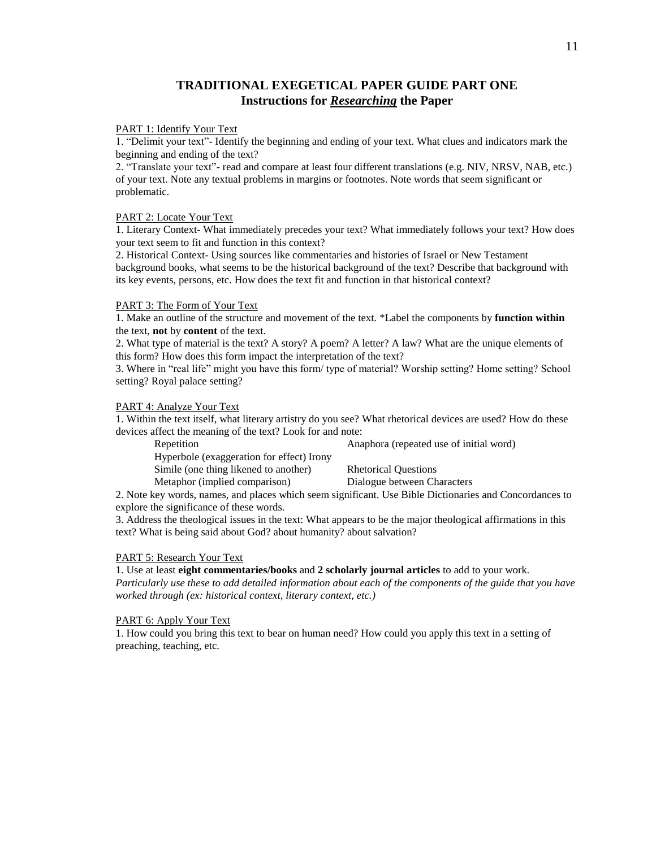# **TRADITIONAL EXEGETICAL PAPER GUIDE PART ONE Instructions for** *Researching* **the Paper**

#### PART 1: Identify Your Text

1. "Delimit your text"- Identify the beginning and ending of your text. What clues and indicators mark the beginning and ending of the text?

2. "Translate your text"- read and compare at least four different translations (e.g. NIV, NRSV, NAB, etc.) of your text. Note any textual problems in margins or footnotes. Note words that seem significant or problematic.

#### PART 2: Locate Your Text

1. Literary Context- What immediately precedes your text? What immediately follows your text? How does your text seem to fit and function in this context?

2. Historical Context- Using sources like commentaries and histories of Israel or New Testament background books, what seems to be the historical background of the text? Describe that background with its key events, persons, etc. How does the text fit and function in that historical context?

#### PART 3: The Form of Your Text

1. Make an outline of the structure and movement of the text. \*Label the components by **function within**  the text, **not** by **content** of the text.

2. What type of material is the text? A story? A poem? A letter? A law? What are the unique elements of this form? How does this form impact the interpretation of the text?

3. Where in "real life" might you have this form/ type of material? Worship setting? Home setting? School setting? Royal palace setting?

#### PART 4: Analyze Your Text

1. Within the text itself, what literary artistry do you see? What rhetorical devices are used? How do these devices affect the meaning of the text? Look for and note:

| Repetition                                | Anaphora (repeated use of initial word)                                                       |
|-------------------------------------------|-----------------------------------------------------------------------------------------------|
| Hyperbole (exaggeration for effect) Irony |                                                                                               |
| Simile (one thing like ned to another)    | <b>Rhetorical Questions</b>                                                                   |
| Metaphor (implied comparison)             | Dialogue between Characters                                                                   |
|                                           | r key words, names, and places which seem significant. Use Rible Dictionaries and Concordance |

2. Note key words, names, and places which seem significant. Use Bible Dictionaries and Concordances to explore the significance of these words.

3. Address the theological issues in the text: What appears to be the major theological affirmations in this text? What is being said about God? about humanity? about salvation?

#### PART 5: Research Your Text

1. Use at least **eight commentaries/books** and **2 scholarly journal articles** to add to your work. *Particularly use these to add detailed information about each of the components of the guide that you have worked through (ex: historical context, literary context, etc.)* 

#### PART 6: Apply Your Text

1. How could you bring this text to bear on human need? How could you apply this text in a setting of preaching, teaching, etc.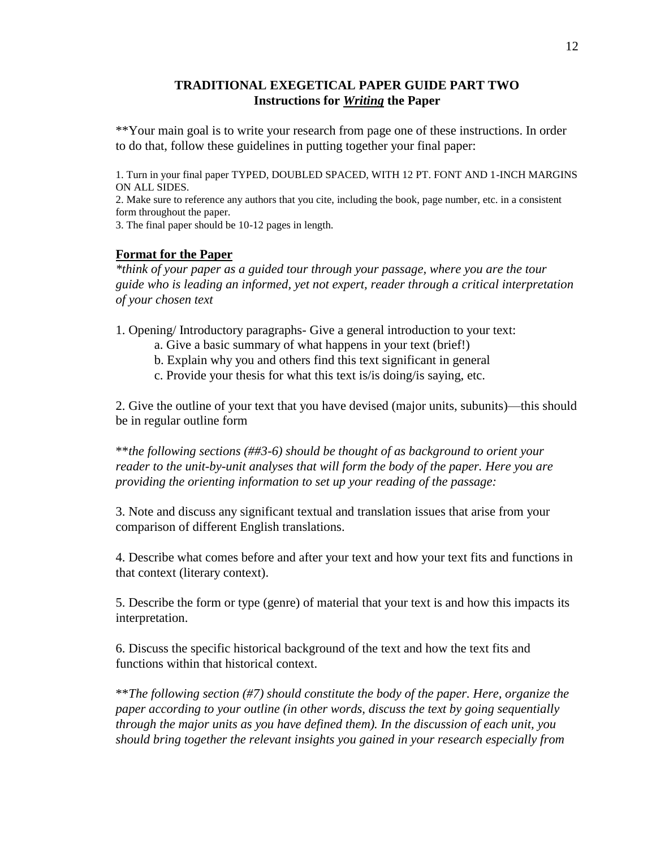# **TRADITIONAL EXEGETICAL PAPER GUIDE PART TWO Instructions for** *Writing* **the Paper**

\*\*Your main goal is to write your research from page one of these instructions. In order to do that, follow these guidelines in putting together your final paper:

1. Turn in your final paper TYPED, DOUBLED SPACED, WITH 12 PT. FONT AND 1-INCH MARGINS ON ALL SIDES.

2. Make sure to reference any authors that you cite, including the book, page number, etc. in a consistent form throughout the paper.

3. The final paper should be 10-12 pages in length.

### **Format for the Paper**

*\*think of your paper as a guided tour through your passage, where you are the tour guide who is leading an informed, yet not expert, reader through a critical interpretation of your chosen text*

1. Opening/ Introductory paragraphs- Give a general introduction to your text:

- a. Give a basic summary of what happens in your text (brief!)
- b. Explain why you and others find this text significant in general
- c. Provide your thesis for what this text is/is doing/is saying, etc.

2. Give the outline of your text that you have devised (major units, subunits)—this should be in regular outline form

\*\**the following sections (##3-6) should be thought of as background to orient your reader to the unit-by-unit analyses that will form the body of the paper. Here you are providing the orienting information to set up your reading of the passage:*

3. Note and discuss any significant textual and translation issues that arise from your comparison of different English translations.

4. Describe what comes before and after your text and how your text fits and functions in that context (literary context).

5. Describe the form or type (genre) of material that your text is and how this impacts its interpretation.

6. Discuss the specific historical background of the text and how the text fits and functions within that historical context.

\*\**The following section (#7) should constitute the body of the paper. Here, organize the paper according to your outline (in other words, discuss the text by going sequentially through the major units as you have defined them). In the discussion of each unit, you should bring together the relevant insights you gained in your research especially from*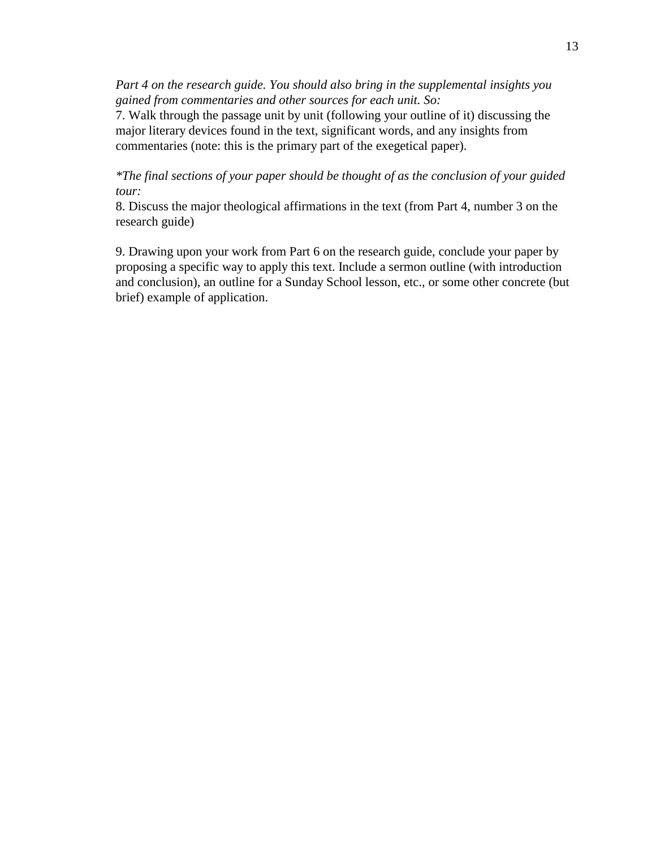*Part 4 on the research guide. You should also bring in the supplemental insights you gained from commentaries and other sources for each unit. So:* 

7. Walk through the passage unit by unit (following your outline of it) discussing the major literary devices found in the text, significant words, and any insights from commentaries (note: this is the primary part of the exegetical paper).

*\*The final sections of your paper should be thought of as the conclusion of your guided tour:*

8. Discuss the major theological affirmations in the text (from Part 4, number 3 on the research guide)

9. Drawing upon your work from Part 6 on the research guide, conclude your paper by proposing a specific way to apply this text. Include a sermon outline (with introduction and conclusion), an outline for a Sunday School lesson, etc., or some other concrete (but brief) example of application.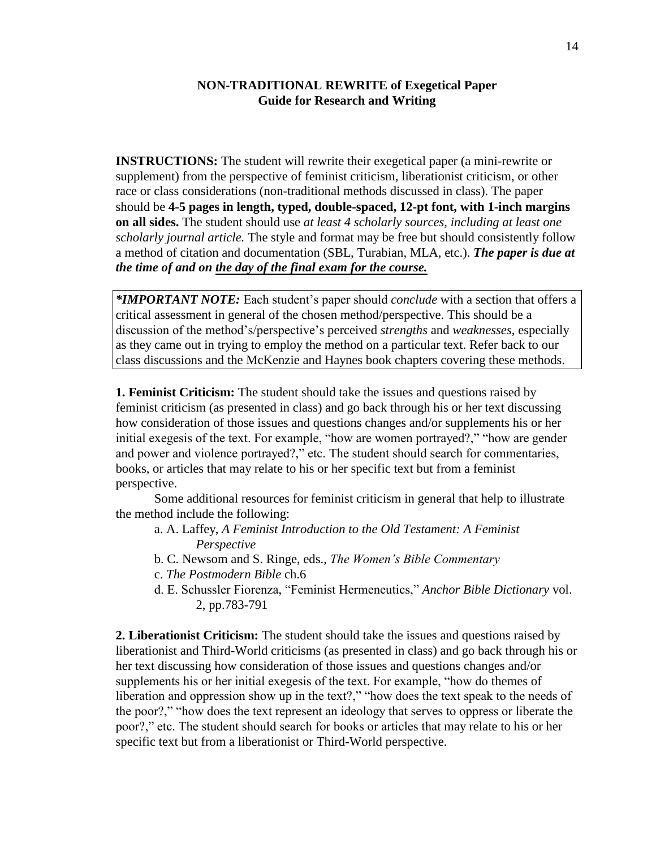## **NON-TRADITIONAL REWRITE of Exegetical Paper Guide for Research and Writing**

**INSTRUCTIONS:** The student will rewrite their exegetical paper (a mini-rewrite or supplement) from the perspective of feminist criticism, liberationist criticism, or other race or class considerations (non-traditional methods discussed in class). The paper should be **4-5 pages in length, typed, double-spaced, 12-pt font, with 1-inch margins on all sides.** The student should use *at least 4 scholarly sources, including at least one scholarly journal article.* The style and format may be free but should consistently follow a method of citation and documentation (SBL, Turabian, MLA, etc.). *The paper is due at the time of and on the day of the final exam for the course.*

*\*IMPORTANT NOTE:* Each student's paper should *conclude* with a section that offers a critical assessment in general of the chosen method/perspective. This should be a discussion of the method's/perspective's perceived *strengths* and *weaknesses*, especially as they came out in trying to employ the method on a particular text. Refer back to our class discussions and the McKenzie and Haynes book chapters covering these methods.

**1. Feminist Criticism:** The student should take the issues and questions raised by feminist criticism (as presented in class) and go back through his or her text discussing how consideration of those issues and questions changes and/or supplements his or her initial exegesis of the text. For example, "how are women portrayed?," "how are gender and power and violence portrayed?," etc. The student should search for commentaries, books, or articles that may relate to his or her specific text but from a feminist perspective.

Some additional resources for feminist criticism in general that help to illustrate the method include the following:

- a. A. Laffey, *A Feminist Introduction to the Old Testament: A Feminist Perspective*
- b. C. Newsom and S. Ringe, eds., *The Women's Bible Commentary*
- c. *The Postmodern Bible* ch.6
- d. E. Schussler Fiorenza, "Feminist Hermeneutics," *Anchor Bible Dictionary* vol. 2, pp.783-791

**2. Liberationist Criticism:** The student should take the issues and questions raised by liberationist and Third-World criticisms (as presented in class) and go back through his or her text discussing how consideration of those issues and questions changes and/or supplements his or her initial exegesis of the text. For example, "how do themes of liberation and oppression show up in the text?," "how does the text speak to the needs of the poor?," "how does the text represent an ideology that serves to oppress or liberate the poor?," etc. The student should search for books or articles that may relate to his or her specific text but from a liberationist or Third-World perspective.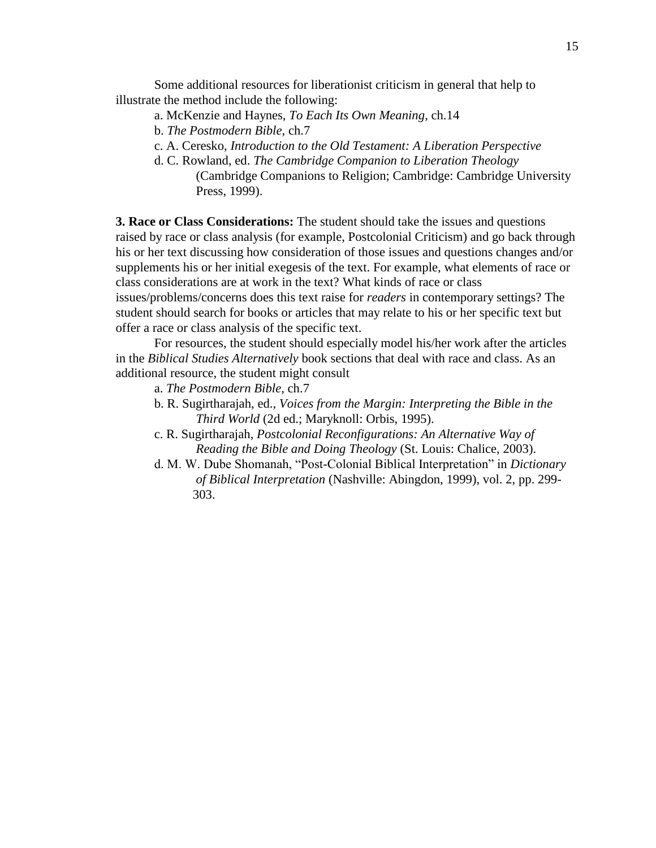Some additional resources for liberationist criticism in general that help to illustrate the method include the following:

- a. McKenzie and Haynes, *To Each Its Own Meaning*, ch.14
- b. *The Postmodern Bible*, ch.7
- c. A. Ceresko, *Introduction to the Old Testament: A Liberation Perspective*
- d. C. Rowland, ed. *The Cambridge Companion to Liberation Theology* (Cambridge Companions to Religion; Cambridge: Cambridge University Press, 1999).

**3. Race or Class Considerations:** The student should take the issues and questions raised by race or class analysis (for example, Postcolonial Criticism) and go back through his or her text discussing how consideration of those issues and questions changes and/or supplements his or her initial exegesis of the text. For example, what elements of race or class considerations are at work in the text? What kinds of race or class issues/problems/concerns does this text raise for *readers* in contemporary settings? The student should search for books or articles that may relate to his or her specific text but offer a race or class analysis of the specific text.

For resources, the student should especially model his/her work after the articles in the *Biblical Studies Alternatively* book sections that deal with race and class. As an additional resource, the student might consult

a. *The Postmodern Bible,* ch.7

- b. R. Sugirtharajah, ed., *Voices from the Margin: Interpreting the Bible in the Third World* (2d ed.; Maryknoll: Orbis, 1995).
- c. R. Sugirtharajah, *Postcolonial Reconfigurations: An Alternative Way of Reading the Bible and Doing Theology* (St. Louis: Chalice, 2003).
- d. M. W. Dube Shomanah, "Post-Colonial Biblical Interpretation" in *Dictionary of Biblical Interpretation* (Nashville: Abingdon, 1999), vol. 2, pp. 299- 303.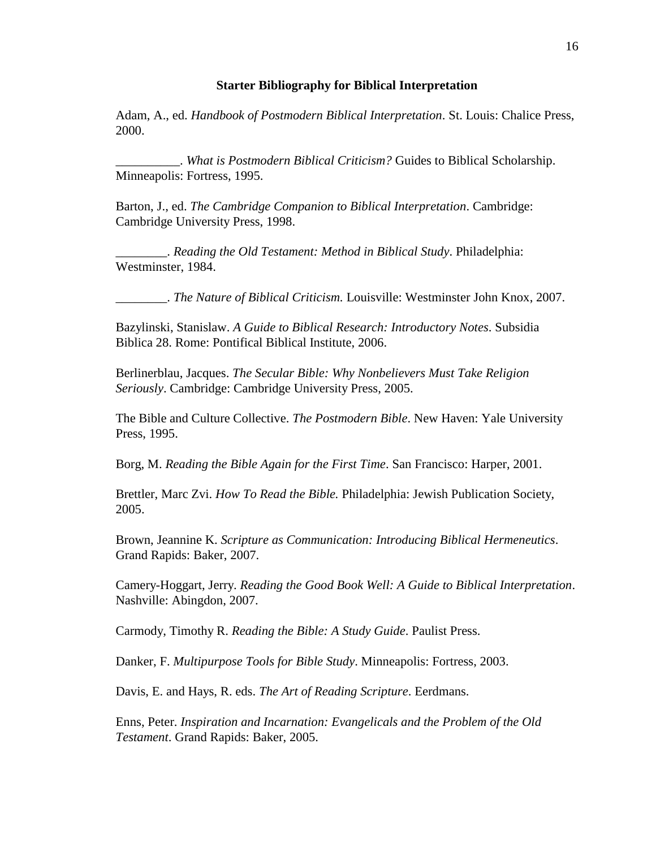### **Starter Bibliography for Biblical Interpretation**

Adam, A., ed. *Handbook of Postmodern Biblical Interpretation*. St. Louis: Chalice Press, 2000.

\_\_\_\_\_\_\_\_\_\_. *What is Postmodern Biblical Criticism?* Guides to Biblical Scholarship. Minneapolis: Fortress, 1995.

Barton, J., ed. *The Cambridge Companion to Biblical Interpretation*. Cambridge: Cambridge University Press, 1998.

\_\_\_\_\_\_\_\_. *Reading the Old Testament: Method in Biblical Study*. Philadelphia: Westminster, 1984.

\_\_\_\_\_\_\_\_. *The Nature of Biblical Criticism.* Louisville: Westminster John Knox, 2007.

Bazylinski, Stanislaw. *A Guide to Biblical Research: Introductory Notes*. Subsidia Biblica 28. Rome: Pontifical Biblical Institute, 2006.

Berlinerblau, Jacques. *The Secular Bible: Why Nonbelievers Must Take Religion Seriously*. Cambridge: Cambridge University Press, 2005.

The Bible and Culture Collective. *The Postmodern Bible*. New Haven: Yale University Press, 1995.

Borg, M. *Reading the Bible Again for the First Time*. San Francisco: Harper, 2001.

Brettler, Marc Zvi. *How To Read the Bible.* Philadelphia: Jewish Publication Society, 2005.

Brown, Jeannine K. *Scripture as Communication: Introducing Biblical Hermeneutics*. Grand Rapids: Baker, 2007.

Camery-Hoggart, Jerry. *Reading the Good Book Well: A Guide to Biblical Interpretation*. Nashville: Abingdon, 2007.

Carmody, Timothy R. *Reading the Bible: A Study Guide*. Paulist Press.

Danker, F. *Multipurpose Tools for Bible Study*. Minneapolis: Fortress, 2003.

Davis, E. and Hays, R. eds. *The Art of Reading Scripture*. Eerdmans.

Enns, Peter. *Inspiration and Incarnation: Evangelicals and the Problem of the Old Testament*. Grand Rapids: Baker, 2005.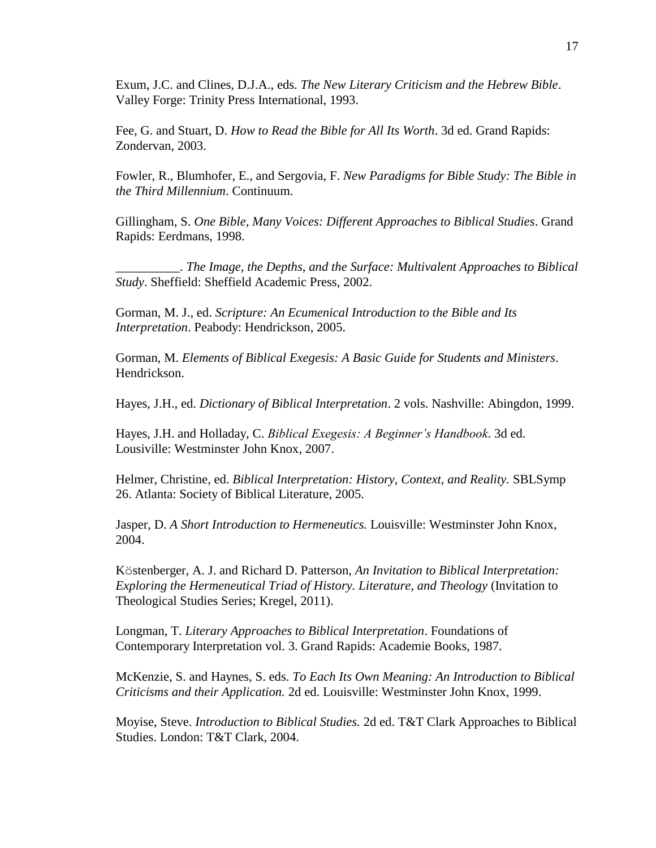Exum, J.C. and Clines, D.J.A., eds. *The New Literary Criticism and the Hebrew Bible*. Valley Forge: Trinity Press International, 1993.

Fee, G. and Stuart, D. *How to Read the Bible for All Its Worth*. 3d ed. Grand Rapids: Zondervan, 2003.

Fowler, R., Blumhofer, E., and Sergovia, F. *New Paradigms for Bible Study: The Bible in the Third Millennium*. Continuum.

Gillingham, S. *One Bible, Many Voices: Different Approaches to Biblical Studies*. Grand Rapids: Eerdmans, 1998.

\_\_\_\_\_\_\_\_\_\_. *The Image, the Depths, and the Surface: Multivalent Approaches to Biblical Study*. Sheffield: Sheffield Academic Press, 2002.

Gorman, M. J., ed. *Scripture: An Ecumenical Introduction to the Bible and Its Interpretation*. Peabody: Hendrickson, 2005.

Gorman, M. *Elements of Biblical Exegesis: A Basic Guide for Students and Ministers*. Hendrickson.

Hayes, J.H., ed. *Dictionary of Biblical Interpretation*. 2 vols. Nashville: Abingdon, 1999.

Hayes, J.H. and Holladay, C. *Biblical Exegesis: A Beginner's Handbook*. 3d ed. Lousiville: Westminster John Knox, 2007.

Helmer, Christine, ed. *Biblical Interpretation: History, Context, and Reality.* SBLSymp 26. Atlanta: Society of Biblical Literature, 2005.

Jasper, D. *A Short Introduction to Hermeneutics.* Louisville: Westminster John Knox, 2004.

Köstenberger, A. J. and Richard D. Patterson, *An Invitation to Biblical Interpretation: Exploring the Hermeneutical Triad of History. Literature, and Theology* (Invitation to Theological Studies Series; Kregel, 2011).

Longman, T. *Literary Approaches to Biblical Interpretation*. Foundations of Contemporary Interpretation vol. 3. Grand Rapids: Academie Books, 1987.

McKenzie, S. and Haynes, S. eds. *To Each Its Own Meaning: An Introduction to Biblical Criticisms and their Application.* 2d ed. Louisville: Westminster John Knox, 1999.

Moyise, Steve. *Introduction to Biblical Studies.* 2d ed. T&T Clark Approaches to Biblical Studies. London: T&T Clark, 2004.